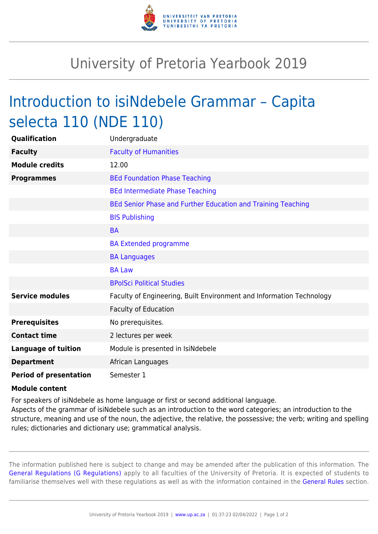

## University of Pretoria Yearbook 2019

## Introduction to isiNdebele Grammar – Capita selecta 110 (NDE 110)

| Qualification                 | Undergraduate                                                        |
|-------------------------------|----------------------------------------------------------------------|
| <b>Faculty</b>                | <b>Faculty of Humanities</b>                                         |
| <b>Module credits</b>         | 12.00                                                                |
| <b>Programmes</b>             | <b>BEd Foundation Phase Teaching</b>                                 |
|                               | <b>BEd Intermediate Phase Teaching</b>                               |
|                               | BEd Senior Phase and Further Education and Training Teaching         |
|                               | <b>BIS Publishing</b>                                                |
|                               | <b>BA</b>                                                            |
|                               | <b>BA Extended programme</b>                                         |
|                               | <b>BA Languages</b>                                                  |
|                               | <b>BA Law</b>                                                        |
|                               | <b>BPolSci Political Studies</b>                                     |
| <b>Service modules</b>        | Faculty of Engineering, Built Environment and Information Technology |
|                               | <b>Faculty of Education</b>                                          |
| <b>Prerequisites</b>          | No prerequisites.                                                    |
| <b>Contact time</b>           | 2 lectures per week                                                  |
| <b>Language of tuition</b>    | Module is presented in IsiNdebele                                    |
| <b>Department</b>             | African Languages                                                    |
| <b>Period of presentation</b> | Semester 1                                                           |

## **Module content**

For speakers of isiNdebele as home language or first or second additional language.

Aspects of the grammar of isiNdebele such as an introduction to the word categories; an introduction to the structure, meaning and use of the noun, the adjective, the relative, the possessive; the verb; writing and spelling rules; dictionaries and dictionary use; grammatical analysis.

The information published here is subject to change and may be amended after the publication of this information. The [General Regulations \(G Regulations\)](https://www.up.ac.za/parents/yearbooks/2019/rules/view/REG) apply to all faculties of the University of Pretoria. It is expected of students to familiarise themselves well with these regulations as well as with the information contained in the [General Rules](https://www.up.ac.za/parents/yearbooks/2019/rules/view/RUL) section.